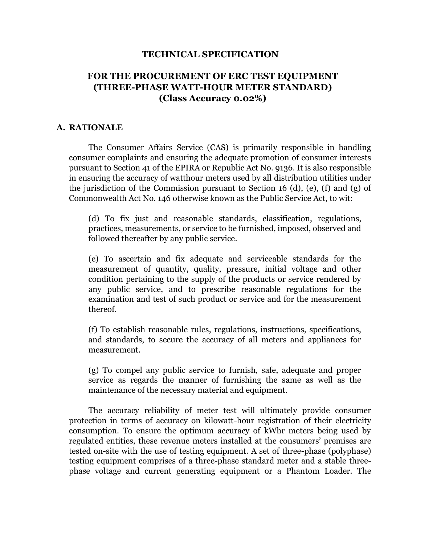#### **TECHNICAL SPECIFICATION**

# **FOR THE PROCUREMENT OF ERC TEST EQUIPMENT (THREE-PHASE WATT-HOUR METER STANDARD) (Class Accuracy 0.02%)**

#### **A. RATIONALE**

The Consumer Affairs Service (CAS) is primarily responsible in handling consumer complaints and ensuring the adequate promotion of consumer interests pursuant to Section 41 of the EPIRA or Republic Act No. 9136. It is also responsible in ensuring the accuracy of watthour meters used by all distribution utilities under the jurisdiction of the Commission pursuant to Section 16 (d), (e), (f) and (g) of Commonwealth Act No. 146 otherwise known as the Public Service Act, to wit:

(d) To fix just and reasonable standards, classification, regulations, practices, measurements, or service to be furnished, imposed, observed and followed thereafter by any public service.

(e) To ascertain and fix adequate and serviceable standards for the measurement of quantity, quality, pressure, initial voltage and other condition pertaining to the supply of the products or service rendered by any public service, and to prescribe reasonable regulations for the examination and test of such product or service and for the measurement thereof.

(f) To establish reasonable rules, regulations, instructions, specifications, and standards, to secure the accuracy of all meters and appliances for measurement.

(g) To compel any public service to furnish, safe, adequate and proper service as regards the manner of furnishing the same as well as the maintenance of the necessary material and equipment.

The accuracy reliability of meter test will ultimately provide consumer protection in terms of accuracy on kilowatt-hour registration of their electricity consumption. To ensure the optimum accuracy of kWhr meters being used by regulated entities, these revenue meters installed at the consumers' premises are tested on-site with the use of testing equipment. A set of three-phase (polyphase) testing equipment comprises of a three-phase standard meter and a stable threephase voltage and current generating equipment or a Phantom Loader. The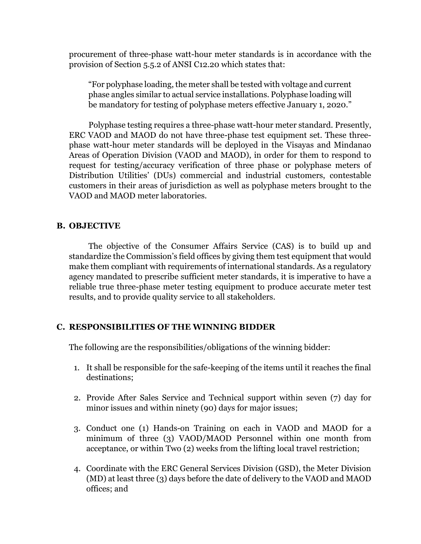procurement of three-phase watt-hour meter standards is in accordance with the provision of Section 5.5.2 of ANSI C12.20 which states that:

"For polyphase loading, the meter shall be tested with voltage and current phase angles similar to actual service installations. Polyphase loading will be mandatory for testing of polyphase meters effective January 1, 2020."

Polyphase testing requires a three-phase watt-hour meter standard. Presently, ERC VAOD and MAOD do not have three-phase test equipment set. These threephase watt-hour meter standards will be deployed in the Visayas and Mindanao Areas of Operation Division (VAOD and MAOD), in order for them to respond to request for testing/accuracy verification of three phase or polyphase meters of Distribution Utilities' (DUs) commercial and industrial customers, contestable customers in their areas of jurisdiction as well as polyphase meters brought to the VAOD and MAOD meter laboratories.

## **B. OBJECTIVE**

The objective of the Consumer Affairs Service (CAS) is to build up and standardize the Commission's field offices by giving them test equipment that would make them compliant with requirements of international standards. As a regulatory agency mandated to prescribe sufficient meter standards, it is imperative to have a reliable true three-phase meter testing equipment to produce accurate meter test results, and to provide quality service to all stakeholders.

#### **C. RESPONSIBILITIES OF THE WINNING BIDDER**

The following are the responsibilities/obligations of the winning bidder:

- 1. It shall be responsible for the safe-keeping of the items until it reaches the final destinations;
- 2. Provide After Sales Service and Technical support within seven (7) day for minor issues and within ninety (90) days for major issues;
- 3. Conduct one (1) Hands-on Training on each in VAOD and MAOD for a minimum of three (3) VAOD/MAOD Personnel within one month from acceptance, or within Two (2) weeks from the lifting local travel restriction;
- 4. Coordinate with the ERC General Services Division (GSD), the Meter Division (MD) at least three (3) days before the date of delivery to the VAOD and MAOD offices; and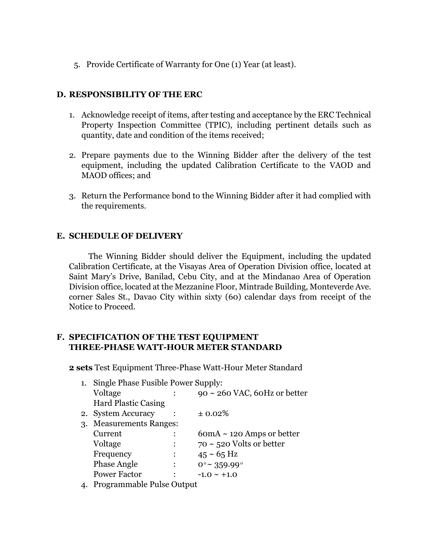5. Provide Certificate of Warranty for One (1) Year (at least).

## **D. RESPONSIBILITY OF THE ERC**

- 1. Acknowledge receipt of items, after testing and acceptance by the ERC Technical Property Inspection Committee (TPIC), including pertinent details such as quantity, date and condition of the items received;
- 2. Prepare payments due to the Winning Bidder after the delivery of the test equipment, including the updated Calibration Certificate to the VAOD and MAOD offices; and
- 3. Return the Performance bond to the Winning Bidder after it had complied with the requirements.

## **E. SCHEDULE OF DELIVERY**

The Winning Bidder should deliver the Equipment, including the updated Calibration Certificate, at the Visayas Area of Operation Division office, located at Saint Mary's Drive, Banilad, Cebu City, and at the Mindanao Area of Operation Division office, located at the Mezzanine Floor, Mintrade Building, Monteverde Ave. corner Sales St., Davao City within sixty (60) calendar days from receipt of the Notice to Proceed.

## **F. SPECIFICATION OF THE TEST EQUIPMENT THREE-PHASE WATT-HOUR METER STANDARD**

**2 sets** Test Equipment Three-Phase Watt-Hour Meter Standard

| 1.             | Single Phase Fusible Power Supply: |  |                                    |
|----------------|------------------------------------|--|------------------------------------|
|                | Voltage                            |  | $90 \sim 260$ VAC, 60Hz or better  |
|                | <b>Hard Plastic Casing</b>         |  |                                    |
|                | 2. System Accuracy                 |  | $\pm 0.02\%$                       |
|                | 3. Measurements Ranges:            |  |                                    |
|                | Current                            |  | $6$ om $A \sim 120$ Amps or better |
|                | Voltage                            |  | $70 \sim 520$ Volts or better      |
|                | Frequency                          |  | $45 \sim 65$ Hz                    |
|                | <b>Phase Angle</b>                 |  | $0^{\circ}$ ~ 359.99 $^{\circ}$    |
|                | <b>Power Factor</b>                |  | $-1.0 \sim +1.0$                   |
| $\overline{ }$ | D <sub>1</sub>                     |  |                                    |

4. Programmable Pulse Output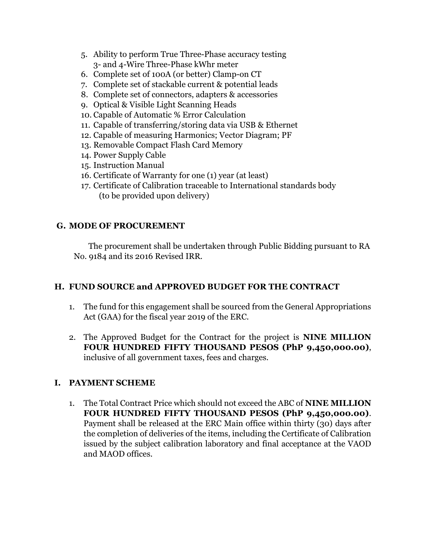- 5. Ability to perform True Three-Phase accuracy testing 3- and 4-Wire Three-Phase kWhr meter
- 6. Complete set of 100A (or better) Clamp-on CT
- 7. Complete set of stackable current & potential leads
- 8. Complete set of connectors, adapters & accessories
- 9. Optical & Visible Light Scanning Heads
- 10. Capable of Automatic % Error Calculation
- 11. Capable of transferring/storing data via USB & Ethernet
- 12. Capable of measuring Harmonics; Vector Diagram; PF
- 13. Removable Compact Flash Card Memory
- 14. Power Supply Cable
- 15. Instruction Manual
- 16. Certificate of Warranty for one (1) year (at least)
- 17. Certificate of Calibration traceable to International standards body (to be provided upon delivery)

# **G. MODE OF PROCUREMENT**

The procurement shall be undertaken through Public Bidding pursuant to RA No. 9184 and its 2016 Revised IRR.

# **H. FUND SOURCE and APPROVED BUDGET FOR THE CONTRACT**

- 1. The fund for this engagement shall be sourced from the General Appropriations Act (GAA) for the fiscal year 2019 of the ERC.
- 2. The Approved Budget for the Contract for the project is **NINE MILLION FOUR HUNDRED FIFTY THOUSAND PESOS (PhP 9,450,000.00)**, inclusive of all government taxes, fees and charges.

# **I. PAYMENT SCHEME**

1. The Total Contract Price which should not exceed the ABC of **NINE MILLION FOUR HUNDRED FIFTY THOUSAND PESOS (PhP 9,450,000.00)**. Payment shall be released at the ERC Main office within thirty (30) days after the completion of deliveries of the items, including the Certificate of Calibration issued by the subject calibration laboratory and final acceptance at the VAOD and MAOD offices.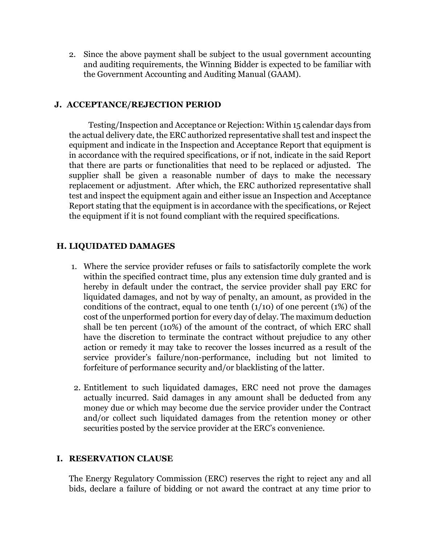2. Since the above payment shall be subject to the usual government accounting and auditing requirements, the Winning Bidder is expected to be familiar with the Government Accounting and Auditing Manual (GAAM).

## **J. ACCEPTANCE/REJECTION PERIOD**

Testing/Inspection and Acceptance or Rejection: Within 15 calendar days from the actual delivery date, the ERC authorized representative shall test and inspect the equipment and indicate in the Inspection and Acceptance Report that equipment is in accordance with the required specifications, or if not, indicate in the said Report that there are parts or functionalities that need to be replaced or adjusted. The supplier shall be given a reasonable number of days to make the necessary replacement or adjustment. After which, the ERC authorized representative shall test and inspect the equipment again and either issue an Inspection and Acceptance Report stating that the equipment is in accordance with the specifications, or Reject the equipment if it is not found compliant with the required specifications.

## **H. LIQUIDATED DAMAGES**

- 1. Where the service provider refuses or fails to satisfactorily complete the work within the specified contract time, plus any extension time duly granted and is hereby in default under the contract, the service provider shall pay ERC for liquidated damages, and not by way of penalty, an amount, as provided in the conditions of the contract, equal to one tenth  $(1/10)$  of one percent  $(1%)$  of the cost of the unperformed portion for every day of delay. The maximum deduction shall be ten percent (10%) of the amount of the contract, of which ERC shall have the discretion to terminate the contract without prejudice to any other action or remedy it may take to recover the losses incurred as a result of the service provider's failure/non-performance, including but not limited to forfeiture of performance security and/or blacklisting of the latter.
- 2. Entitlement to such liquidated damages, ERC need not prove the damages actually incurred. Said damages in any amount shall be deducted from any money due or which may become due the service provider under the Contract and/or collect such liquidated damages from the retention money or other securities posted by the service provider at the ERC's convenience.

#### **I. RESERVATION CLAUSE**

The Energy Regulatory Commission (ERC) reserves the right to reject any and all bids, declare a failure of bidding or not award the contract at any time prior to